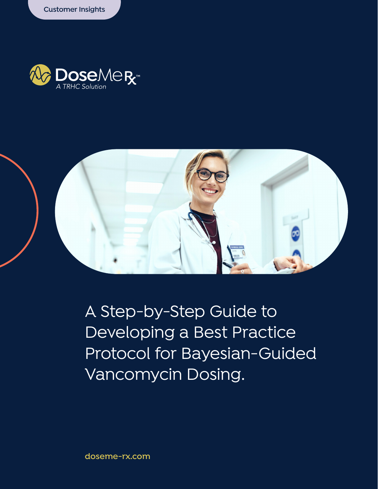



A Step-by-Step Guide to Developing a Best Practice Protocol for Bayesian-Guided Vancomycin Dosing.

**doseme-rx.com**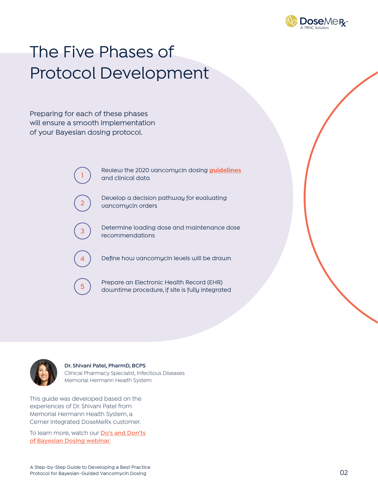

# The Five Phases of Protocol Development

Preparing for each of these phases will ensure a smooth implementation of your Bayesian dosing protocol.

> **<sup>1</sup>** Review the 2020 vancomycin dosing **[guidelines](https://doseme-rx.com/vancomycin/articles/webinar-vancomycin-guidelines)** and clinical data

**<sup>2</sup>** Develop a decision pathway for evaluating vancomycin orders

**3** Determine loading dose and maintenance dose recommendations

**4** Define how vancomycin levels will be drawn

**<sup>5</sup>** Prepare an Electronic Health Record (EHR) downtime procedure, if site is fully integrated



**Dr. Shivani Patel, PharmD, BCPS** Clinical Pharmacy Specialist, Infectious Diseases Memorial Hermann Health System

This guide was developed based on the experiences of Dr. Shivani Patel from Memorial Hermann Health System, a Cerner integrated DoseMeRx customer.

To learn more, watch our **[Do's and Don'ts](https://doseme-rx.com/vancomycin/articles/dos-and-donts-bayesian-dosing) [of Bayesian Dosing webinar](https://doseme-rx.com/vancomycin/articles/dos-and-donts-bayesian-dosing)**.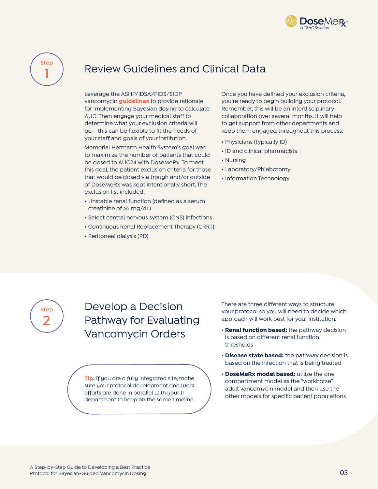



# Review Guidelines and Clinical Data

Leverage the ASHP/IDSA/PIDS/SIDP vancomycin **[guidelines](https://doseme-rx.com/vancomycin/articles/webinar-vancomycin-guidelines)** to provide rationale for implementing Bayesian dosing to calculate AUC. Then engage your medical staff to determine what your exclusion criteria will be – this can be flexible to fit the needs of your staff and goals of your institution.

Memorial Hermann Health System's goal was to maximize the number of patients that could be dosed to AUC24 with DoseMeRx. To meet this goal, the patient exclusion criteria for those that would be dosed via trough and/or outside of DoseMeRx was kept intentionally short. The exclusion list included:

- Unstable renal function (defined as a serum creatinine of >6 mg/dL)
- Select central nervous system (CNS) infections
- Continuous Renal Replacement Therapy (CRRT)
- Peritoneal dialysis (PD)

Once you have defined your exclusion criteria, you're ready to begin building your protocol. Remember, this will be an interdisciplinary collaboration over several months. It will help to get support from other departments and keep them engaged throughout this process:

- Physicians (typically ID)
- ID and clinical pharmacists
- Nursing
- Laboratory/Phlebotomy
- Information Technology



Develop a Decision Pathway for Evaluating Vancomycin Orders

**Tip:** If you are a fully integrated site, make sure your protocol development and work efforts are done in parallel with your IT department to keep on the same timeline. There are three different ways to structure your protocol so you will need to decide which approach will work best for your institution.

- **Renal function based:** the pathway decision is based on different renal function thresholds
- **Disease state based:** the pathway decision is based on the infection that is being treated
- **DoseMeRx model based:** utilize the one compartment model as the "workhorse" adult vancomycin model and then use the other models for specific patient populations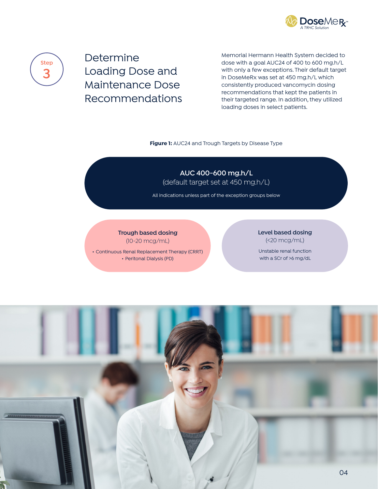



Determine Loading Dose and Maintenance Dose Recommendations

Memorial Hermann Health System decided to dose with a goal AUC24 of 400 to 600 mg.h/L with only a few exceptions. Their default target in DoseMeRx was set at 450 mg.h/L which consistently produced vancomycin dosing recommendations that kept the patients in their targeted range. In addition, they utilized loading doses in select patients.

#### **Figure 1:** AUC24 and Trough Targets by Disease Type

**AUC 400-600 mg.h/L**

(default target set at 450 mg.h/L)

All indications unless part of the exception groups below

**Trough based dosing** (10-20 mcg/mL)

• Continuous Renal Replacement Therapy (CRRT) • Peritonal Dialysis (PD)

### **Level based dosing** (<20 mcg/mL)

Unstable renal function with a SCr of >6 mg/dL

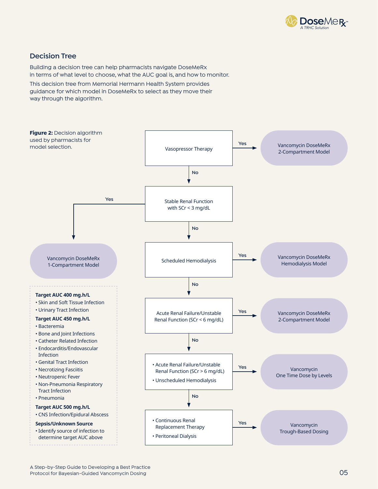

### **Decision Tree**

Building a decision tree can help pharmacists navigate DoseMeRx in terms of what level to choose, what the AUC goal is, and how to monitor.

This decision tree from Memorial Hermann Health System provides guidance for which model in DoseMeRx to select as they move their way through the algorithm.

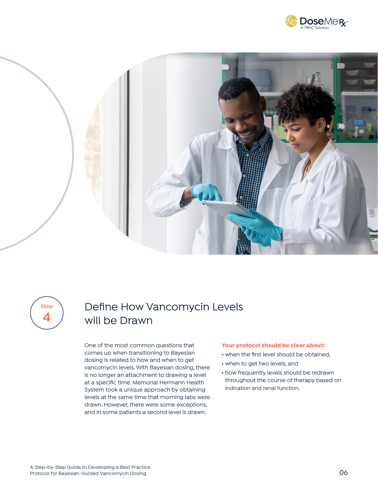





# Define How Vancomycin Levels **4** will be Drawn

One of the most common questions that comes up when transitioning to Bayesian dosing is related to how and when to get vancomycin levels. With Bayesian dosing, there is no longer an attachment to drawing a level at a specific time. Memorial Hermann Health System took a unique approach by obtaining levels at the same time that morning labs were drawn. However, there were some exceptions, and in some patients a second level is drawn.

#### **Your protocol should be clear about:**

- when the first level should be obtained,
- when to get two levels, and
- how frequently levels should be redrawn throughout the course of therapy based on indication and renal function.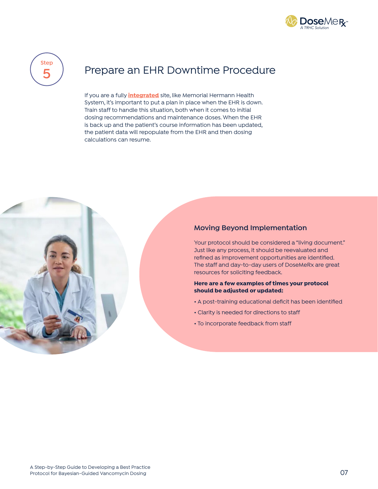



# Prepare an EHR Downtime Procedure **5**

If you are a fully **[integrated](https://doseme-rx.com/why-dosemerx/product/integrations)** site, like Memorial Hermann Health System, it's important to put a plan in place when the EHR is down. Train staff to handle this situation, both when it comes to initial dosing recommendations and maintenance doses. When the EHR is back up and the patient's course information has been updated, the patient data will repopulate from the EHR and then dosing calculations can resume.



### **Moving Beyond Implementation**

Your protocol should be considered a "living document." Just like any process, it should be reevaluated and refined as improvement opportunities are identified. The staff and day-to-day users of DoseMeRx are great resources for soliciting feedback.

#### **Here are a few examples of times your protocol should be adjusted or updated:**

- A post-training educational deficit has been identified
- Clarity is needed for directions to staff
- To incorporate feedback from staff